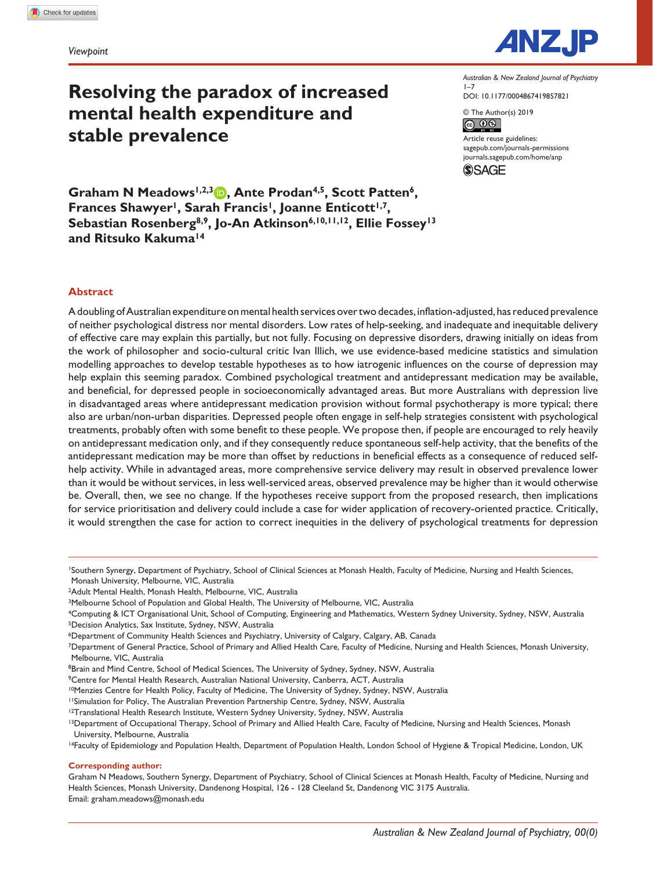# *ANZ.IP*

DOI: 10.1177/0004867419857821 *Australian & New Zealand Journal of Psychiatry*  $1 - 7$ 

© The Author(s) 2019  $\circledcirc$   $\circledcirc$ 

Article reuse guidelines: [sagepub.com/journals-permissions](https://uk.sagepub.com/en-gb/journals-permissions) [journals.sagepub.com/home/anp](https://journals.sagepub.com/home/anp)



Graham N Meadows<sup>1,2,3</sup> **b**, Ante Prodan<sup>4,5</sup>, Scott Patten<sup>6</sup>, Frances Shawyer<sup>1</sup>, Sarah Francis<sup>1</sup>, Joanne Enticott<sup>1,7</sup>, **Sebastian Rosenberg8,9, Jo-An Atkinson6,10,11,12, Ellie Fossey13 and Ritsuko Kakuma14**

**Resolving the paradox of increased** 

**mental health expenditure and** 

**stable prevalence**

## **Abstract**

A doubling of Australian expenditure on mental health services over two decades, inflation-adjusted, has reduced prevalence of neither psychological distress nor mental disorders. Low rates of help-seeking, and inadequate and inequitable delivery of effective care may explain this partially, but not fully. Focusing on depressive disorders, drawing initially on ideas from the work of philosopher and socio-cultural critic Ivan Illich, we use evidence-based medicine statistics and simulation modelling approaches to develop testable hypotheses as to how iatrogenic influences on the course of depression may help explain this seeming paradox. Combined psychological treatment and antidepressant medication may be available, and beneficial, for depressed people in socioeconomically advantaged areas. But more Australians with depression live in disadvantaged areas where antidepressant medication provision without formal psychotherapy is more typical; there also are urban/non-urban disparities. Depressed people often engage in self-help strategies consistent with psychological treatments, probably often with some benefit to these people. We propose then, if people are encouraged to rely heavily on antidepressant medication only, and if they consequently reduce spontaneous self-help activity, that the benefits of the antidepressant medication may be more than offset by reductions in beneficial effects as a consequence of reduced selfhelp activity. While in advantaged areas, more comprehensive service delivery may result in observed prevalence lower than it would be without services, in less well-serviced areas, observed prevalence may be higher than it would otherwise be. Overall, then, we see no change. If the hypotheses receive support from the proposed research, then implications for service prioritisation and delivery could include a case for wider application of recovery-oriented practice. Critically, it would strengthen the case for action to correct inequities in the delivery of psychological treatments for depression

**Corresponding author:**

Graham N Meadows, Southern Synergy, Department of Psychiatry, School of Clinical Sciences at Monash Health, Faculty of Medicine, Nursing and Health Sciences, Monash University, Dandenong Hospital, 126 - 128 Cleeland St, Dandenong VIC 3175 Australia. Email: [graham.meadows@monash.edu](mailto:graham.meadows@monash.edu)

<sup>1</sup>Southern Synergy, Department of Psychiatry, School of Clinical Sciences at Monash Health, Faculty of Medicine, Nursing and Health Sciences, Monash University, Melbourne, VIC, Australia

<sup>2</sup>Adult Mental Health, Monash Health, Melbourne, VIC, Australia

<sup>&</sup>lt;sup>3</sup>Melbourne School of Population and Global Health, The University of Melbourne, VIC, Australia

<sup>4</sup>Computing & ICT Organisational Unit, School of Computing, Engineering and Mathematics, Western Sydney University, Sydney, NSW, Australia 5Decision Analytics, Sax Institute, Sydney, NSW, Australia

<sup>6</sup>Department of Community Health Sciences and Psychiatry, University of Calgary, Calgary, AB, Canada

<sup>7</sup>Department of General Practice, School of Primary and Allied Health Care, Faculty of Medicine, Nursing and Health Sciences, Monash University, Melbourne, VIC, Australia

<sup>8</sup>Brain and Mind Centre, School of Medical Sciences, The University of Sydney, Sydney, NSW, Australia

<sup>9</sup>Centre for Mental Health Research, Australian National University, Canberra, ACT, Australia

<sup>&</sup>lt;sup>10</sup>Menzies Centre for Health Policy, Faculty of Medicine, The University of Sydney, Sydney, NSW, Australia

<sup>11</sup>Simulation for Policy, The Australian Prevention Partnership Centre, Sydney, NSW, Australia

<sup>&</sup>lt;sup>12</sup>Translational Health Research Institute, Western Sydney University, Sydney, NSW, Australia

<sup>&</sup>lt;sup>13</sup>Department of Occupational Therapy, School of Primary and Allied Health Care, Faculty of Medicine, Nursing and Health Sciences, Monash University, Melbourne, Australia

<sup>&</sup>lt;sup>14</sup>Faculty of Epidemiology and Population Health, Department of Population Health, London School of Hygiene & Tropical Medicine, London, UK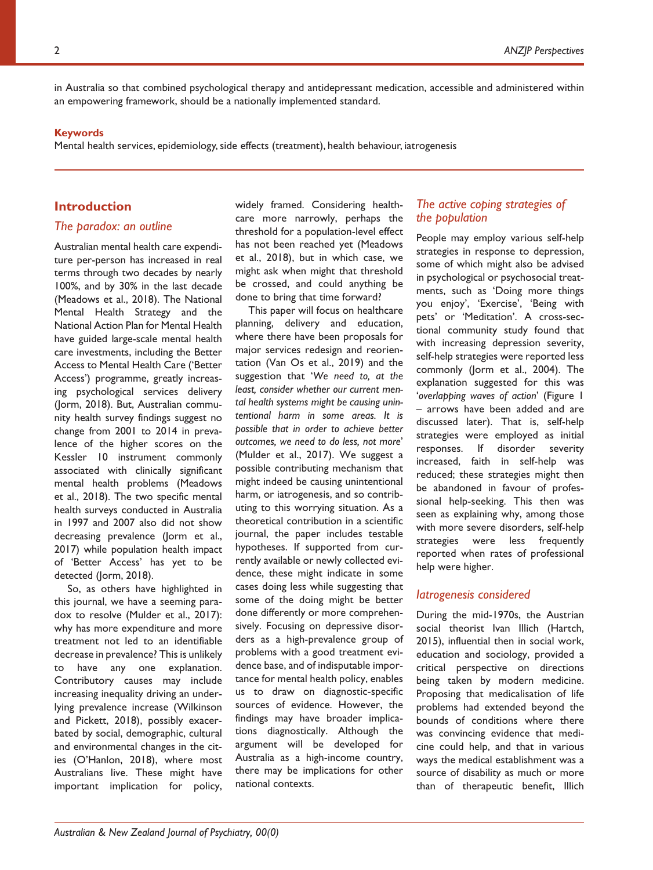in Australia so that combined psychological therapy and antidepressant medication, accessible and administered within an empowering framework, should be a nationally implemented standard.

#### **Keywords**

Mental health services, epidemiology, side effects (treatment), health behaviour, iatrogenesis

# **Introduction**

# *The paradox: an outline*

Australian mental health care expenditure per-person has increased in real terms through two decades by nearly 100%, and by 30% in the last decade (Meadows et al., 2018). The National Mental Health Strategy and the National Action Plan for Mental Health have guided large-scale mental health care investments, including the Better Access to Mental Health Care ('Better Access') programme, greatly increasing psychological services delivery (Jorm, 2018). But, Australian community health survey findings suggest no change from 2001 to 2014 in prevalence of the higher scores on the Kessler 10 instrument commonly associated with clinically significant mental health problems (Meadows et al., 2018). The two specific mental health surveys conducted in Australia in 1997 and 2007 also did not show decreasing prevalence (Jorm et al., 2017) while population health impact of 'Better Access' has yet to be detected (Jorm, 2018).

So, as others have highlighted in this journal, we have a seeming paradox to resolve (Mulder et al., 2017): why has more expenditure and more treatment not led to an identifiable decrease in prevalence? This is unlikely to have any one explanation. Contributory causes may include increasing inequality driving an underlying prevalence increase (Wilkinson and Pickett, 2018), possibly exacerbated by social, demographic, cultural and environmental changes in the cities (O'Hanlon, 2018), where most Australians live. These might have important implication for policy, widely framed. Considering healthcare more narrowly, perhaps the threshold for a population-level effect has not been reached yet (Meadows et al., 2018), but in which case, we might ask when might that threshold be crossed, and could anything be done to bring that time forward?

This paper will focus on healthcare planning, delivery and education, where there have been proposals for major services redesign and reorientation (Van Os et al., 2019) and the suggestion that '*We need to, at the least, consider whether our current mental health systems might be causing unintentional harm in some areas. It is possible that in order to achieve better outcomes, we need to do less, not more*' (Mulder et al., 2017). We suggest a possible contributing mechanism that might indeed be causing unintentional harm, or iatrogenesis, and so contributing to this worrying situation. As a theoretical contribution in a scientific journal, the paper includes testable hypotheses. If supported from currently available or newly collected evidence, these might indicate in some cases doing less while suggesting that some of the doing might be better done differently or more comprehensively. Focusing on depressive disorders as a high-prevalence group of problems with a good treatment evidence base, and of indisputable importance for mental health policy, enables us to draw on diagnostic-specific sources of evidence. However, the findings may have broader implications diagnostically. Although the argument will be developed for Australia as a high-income country, there may be implications for other national contexts.

# *The active coping strategies of the population*

People may employ various self-help strategies in response to depression, some of which might also be advised in psychological or psychosocial treatments, such as 'Doing more things you enjoy', 'Exercise', 'Being with pets' or 'Meditation'. A cross-sectional community study found that with increasing depression severity, self-help strategies were reported less commonly (Jorm et al., 2004). The explanation suggested for this was '*overlapping waves of action*' (Figure 1 – arrows have been added and are discussed later). That is, self-help strategies were employed as initial responses. If disorder severity increased, faith in self-help was reduced; these strategies might then be abandoned in favour of professional help-seeking. This then was seen as explaining why, among those with more severe disorders, self-help strategies were less frequently reported when rates of professional help were higher.

## *Iatrogenesis considered*

During the mid-1970s, the Austrian social theorist Ivan Illich (Hartch, 2015), influential then in social work, education and sociology, provided a critical perspective on directions being taken by modern medicine. Proposing that medicalisation of life problems had extended beyond the bounds of conditions where there was convincing evidence that medicine could help, and that in various ways the medical establishment was a source of disability as much or more than of therapeutic benefit, Illich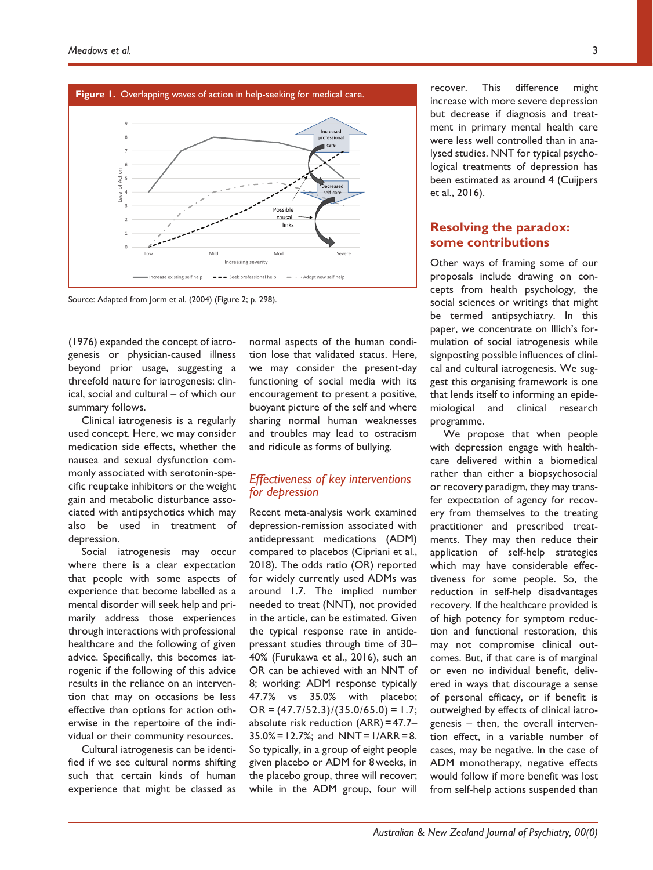

Source: Adapted from Jorm et al. (2004) (Figure 2; p. 298).

(1976) expanded the concept of iatrogenesis or physician-caused illness beyond prior usage, suggesting a threefold nature for iatrogenesis: clinical, social and cultural – of which our summary follows.

Clinical iatrogenesis is a regularly used concept. Here, we may consider medication side effects, whether the nausea and sexual dysfunction commonly associated with serotonin-specific reuptake inhibitors or the weight gain and metabolic disturbance associated with antipsychotics which may also be used in treatment of depression.

Social iatrogenesis may occur where there is a clear expectation that people with some aspects of experience that become labelled as a mental disorder will seek help and primarily address those experiences through interactions with professional healthcare and the following of given advice. Specifically, this becomes iatrogenic if the following of this advice results in the reliance on an intervention that may on occasions be less effective than options for action otherwise in the repertoire of the individual or their community resources.

Cultural iatrogenesis can be identified if we see cultural norms shifting such that certain kinds of human experience that might be classed as

normal aspects of the human condition lose that validated status. Here, we may consider the present-day functioning of social media with its encouragement to present a positive, buoyant picture of the self and where sharing normal human weaknesses and troubles may lead to ostracism and ridicule as forms of bullying.

# *Effectiveness of key interventions for depression*

Recent meta-analysis work examined depression-remission associated with antidepressant medications (ADM) compared to placebos (Cipriani et al., 2018). The odds ratio (OR) reported for widely currently used ADMs was around 1.7. The implied number needed to treat (NNT), not provided in the article, can be estimated. Given the typical response rate in antidepressant studies through time of 30– 40% (Furukawa et al., 2016), such an OR can be achieved with an NNT of 8; working: ADM response typically 47.7% vs 35.0% with placebo;  $OR = (47.7/52.3)/(35.0/65.0) = 1.7;$ absolute risk reduction (ARR)=47.7– 35.0%=12.7%; and NNT=1/ARR=8. So typically, in a group of eight people given placebo or ADM for 8weeks, in the placebo group, three will recover; while in the ADM group, four will

recover. This difference might increase with more severe depression but decrease if diagnosis and treatment in primary mental health care were less well controlled than in analysed studies. NNT for typical psychological treatments of depression has been estimated as around 4 (Cuijpers et al., 2016).

# **Resolving the paradox: some contributions**

Other ways of framing some of our proposals include drawing on concepts from health psychology, the social sciences or writings that might be termed antipsychiatry. In this paper, we concentrate on Illich's formulation of social iatrogenesis while signposting possible influences of clinical and cultural iatrogenesis. We suggest this organising framework is one that lends itself to informing an epidemiological and clinical research programme.

We propose that when people with depression engage with healthcare delivered within a biomedical rather than either a biopsychosocial or recovery paradigm, they may transfer expectation of agency for recovery from themselves to the treating practitioner and prescribed treatments. They may then reduce their application of self-help strategies which may have considerable effectiveness for some people. So, the reduction in self-help disadvantages recovery. If the healthcare provided is of high potency for symptom reduction and functional restoration, this may not compromise clinical outcomes. But, if that care is of marginal or even no individual benefit, delivered in ways that discourage a sense of personal efficacy, or if benefit is outweighed by effects of clinical iatrogenesis – then, the overall intervention effect, in a variable number of cases, may be negative. In the case of ADM monotherapy, negative effects would follow if more benefit was lost from self-help actions suspended than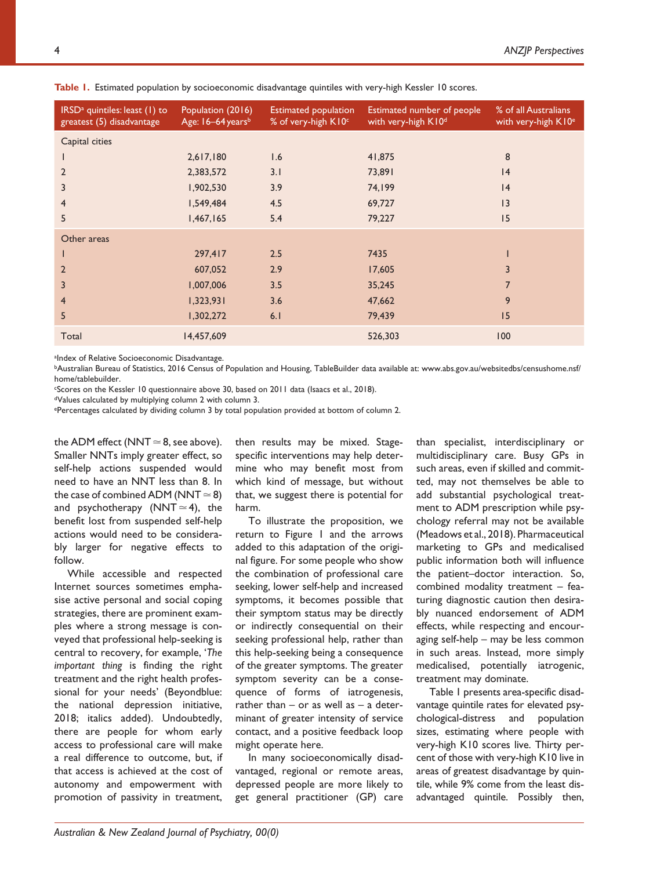| IRSD <sup>a</sup> quintiles: least (1) to<br>greatest (5) disadvantage | Population (2016)<br>Age: 16-64 years <sup>b</sup> | <b>Estimated population</b><br>% of very-high K10c | Estimated number of people<br>with very-high K10 <sup>d</sup> | % of all Australians<br>with very-high K10 <sup>e</sup> |
|------------------------------------------------------------------------|----------------------------------------------------|----------------------------------------------------|---------------------------------------------------------------|---------------------------------------------------------|
| Capital cities                                                         |                                                    |                                                    |                                                               |                                                         |
|                                                                        | 2,617,180                                          | 1.6                                                | 41,875                                                        | 8                                                       |
| $\overline{2}$                                                         | 2,383,572                                          | 3.1                                                | 73,891                                                        | 4                                                       |
| 3                                                                      | 1,902,530                                          | 3.9                                                | 74,199                                                        | 4                                                       |
| $\overline{4}$                                                         | 1,549,484                                          | 4.5                                                | 69,727                                                        | 3                                                       |
| 5                                                                      | 1,467,165                                          | 5.4                                                | 79,227                                                        | 15                                                      |
| Other areas                                                            |                                                    |                                                    |                                                               |                                                         |
|                                                                        | 297,417                                            | 2.5                                                | 7435                                                          |                                                         |
| $\overline{2}$                                                         | 607,052                                            | 2.9                                                | 17,605                                                        | 3                                                       |
| 3                                                                      | 1,007,006                                          | 3.5                                                | 35,245                                                        | $\overline{7}$                                          |
| $\overline{4}$                                                         | 1,323,931                                          | 3.6                                                | 47,662                                                        | 9                                                       |
| 5                                                                      | 1,302,272                                          | 6.1                                                | 79,439                                                        | 15                                                      |
| Total                                                                  | 14,457,609                                         |                                                    | 526,303                                                       | 100                                                     |

**Table 1.** Estimated population by socioeconomic disadvantage quintiles with very-high Kessler 10 scores.

a Index of Relative Socioeconomic Disadvantage.

bAustralian Bureau of Statistics, 2016 Census of Population and Housing, TableBuilder data available at: [www.abs.gov.au/websitedbs/censushome.nsf/](www.abs.gov.au/websitedbs/censushome.nsf/home/tablebuilder) [home/tablebuilder.](www.abs.gov.au/websitedbs/censushome.nsf/home/tablebuilder)

cScores on the Kessler 10 questionnaire above 30, based on 2011 data (Isaacs et al., 2018).

dValues calculated by multiplying column 2 with column 3.

ePercentages calculated by dividing column 3 by total population provided at bottom of column 2.

the ADM effect (NNT  $\simeq$  8, see above). Smaller NNTs imply greater effect, so self-help actions suspended would need to have an NNT less than 8. In the case of combined ADM (NNT ≃8) and psychotherapy (NNT≃4), the benefit lost from suspended self-help actions would need to be considerably larger for negative effects to follow.

While accessible and respected Internet sources sometimes emphasise active personal and social coping strategies, there are prominent examples where a strong message is conveyed that professional help-seeking is central to recovery, for example, '*The important thing* is finding the right treatment and the right health professional for your needs' (Beyondblue: the national depression initiative, 2018; italics added). Undoubtedly, there are people for whom early access to professional care will make a real difference to outcome, but, if that access is achieved at the cost of autonomy and empowerment with promotion of passivity in treatment,

then results may be mixed. Stagespecific interventions may help determine who may benefit most from which kind of message, but without that, we suggest there is potential for harm.

To illustrate the proposition, we return to Figure 1 and the arrows added to this adaptation of the original figure. For some people who show the combination of professional care seeking, lower self-help and increased symptoms, it becomes possible that their symptom status may be directly or indirectly consequential on their seeking professional help, rather than this help-seeking being a consequence of the greater symptoms. The greater symptom severity can be a consequence of forms of iatrogenesis, rather than  $-$  or as well as  $-$  a determinant of greater intensity of service contact, and a positive feedback loop might operate here.

In many socioeconomically disadvantaged, regional or remote areas, depressed people are more likely to get general practitioner (GP) care than specialist, interdisciplinary or multidisciplinary care. Busy GPs in such areas, even if skilled and committed, may not themselves be able to add substantial psychological treatment to ADM prescription while psychology referral may not be available (Meadows et al., 2018). Pharmaceutical marketing to GPs and medicalised public information both will influence the patient–doctor interaction. So, combined modality treatment – featuring diagnostic caution then desirably nuanced endorsement of ADM effects, while respecting and encouraging self-help – may be less common in such areas. Instead, more simply medicalised, potentially iatrogenic, treatment may dominate.

Table 1 presents area-specific disadvantage quintile rates for elevated psychological-distress and population sizes, estimating where people with very-high K10 scores live. Thirty percent of those with very-high K10 live in areas of greatest disadvantage by quintile, while 9% come from the least disadvantaged quintile. Possibly then,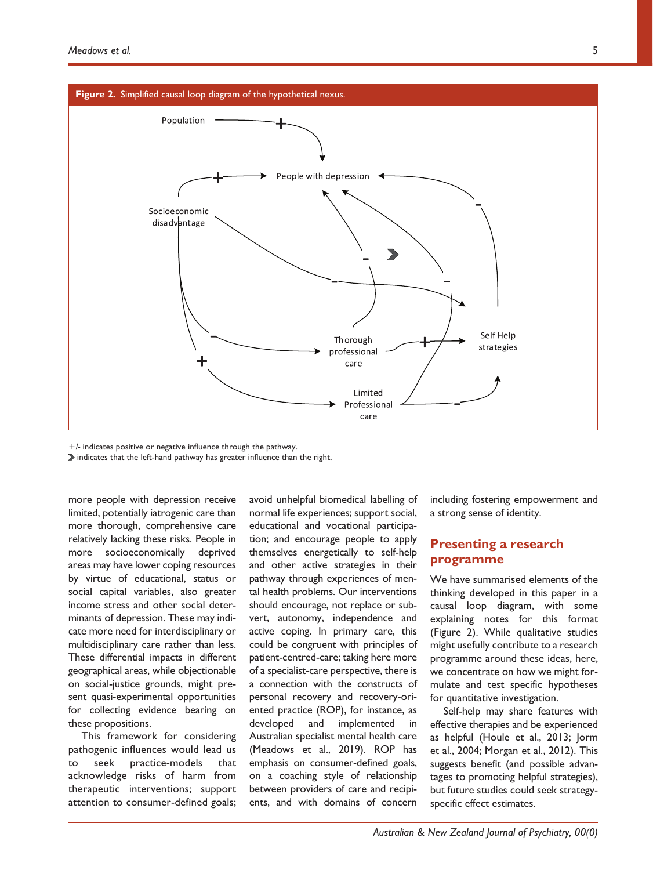

+*/-* indicates positive or negative influence through the pathway.

 $\triangleright$  indicates that the left-hand pathway has greater influence than the right.

more people with depression receive limited, potentially iatrogenic care than more thorough, comprehensive care relatively lacking these risks. People in more socioeconomically deprived areas may have lower coping resources by virtue of educational, status or social capital variables, also greater income stress and other social determinants of depression. These may indicate more need for interdisciplinary or multidisciplinary care rather than less. These differential impacts in different geographical areas, while objectionable on social-justice grounds, might present quasi-experimental opportunities for collecting evidence bearing on these propositions.

This framework for considering pathogenic influences would lead us to seek practice-models that acknowledge risks of harm from therapeutic interventions; support attention to consumer-defined goals;

avoid unhelpful biomedical labelling of normal life experiences; support social, educational and vocational participation; and encourage people to apply themselves energetically to self-help and other active strategies in their pathway through experiences of mental health problems. Our interventions should encourage, not replace or subvert, autonomy, independence and active coping. In primary care, this could be congruent with principles of patient-centred-care; taking here more of a specialist-care perspective, there is a connection with the constructs of personal recovery and recovery-oriented practice (ROP), for instance, as developed and implemented in Australian specialist mental health care (Meadows et al., 2019). ROP has emphasis on consumer-defined goals, on a coaching style of relationship between providers of care and recipients, and with domains of concern

including fostering empowerment and a strong sense of identity.

# **Presenting a research programme**

We have summarised elements of the thinking developed in this paper in a causal loop diagram, with some explaining notes for this format (Figure 2). While qualitative studies might usefully contribute to a research programme around these ideas, here, we concentrate on how we might formulate and test specific hypotheses for quantitative investigation.

Self-help may share features with effective therapies and be experienced as helpful (Houle et al., 2013; Jorm et al., 2004; Morgan et al., 2012). This suggests benefit (and possible advantages to promoting helpful strategies), but future studies could seek strategyspecific effect estimates.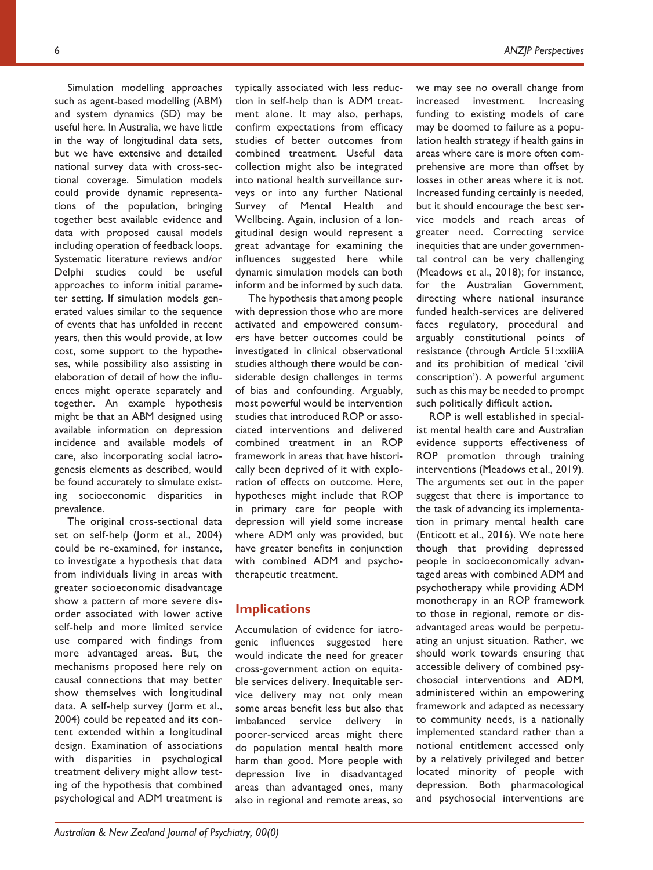Simulation modelling approaches such as agent-based modelling (ABM) and system dynamics (SD) may be useful here. In Australia, we have little in the way of longitudinal data sets, but we have extensive and detailed national survey data with cross-sectional coverage. Simulation models could provide dynamic representations of the population, bringing together best available evidence and data with proposed causal models including operation of feedback loops. Systematic literature reviews and/or Delphi studies could be useful approaches to inform initial parameter setting. If simulation models generated values similar to the sequence of events that has unfolded in recent years, then this would provide, at low cost, some support to the hypotheses, while possibility also assisting in elaboration of detail of how the influences might operate separately and together. An example hypothesis might be that an ABM designed using available information on depression incidence and available models of care, also incorporating social iatrogenesis elements as described, would be found accurately to simulate existing socioeconomic disparities in prevalence.

The original cross-sectional data set on self-help (Jorm et al., 2004) could be re-examined, for instance, to investigate a hypothesis that data from individuals living in areas with greater socioeconomic disadvantage show a pattern of more severe disorder associated with lower active self-help and more limited service use compared with findings from more advantaged areas. But, the mechanisms proposed here rely on causal connections that may better show themselves with longitudinal data. A self-help survey (Jorm et al., 2004) could be repeated and its content extended within a longitudinal design. Examination of associations with disparities in psychological treatment delivery might allow testing of the hypothesis that combined psychological and ADM treatment is typically associated with less reduction in self-help than is ADM treatment alone. It may also, perhaps, confirm expectations from efficacy studies of better outcomes from combined treatment. Useful data collection might also be integrated into national health surveillance surveys or into any further National Survey of Mental Health and Wellbeing. Again, inclusion of a longitudinal design would represent a great advantage for examining the influences suggested here while dynamic simulation models can both inform and be informed by such data.

The hypothesis that among people with depression those who are more activated and empowered consumers have better outcomes could be investigated in clinical observational studies although there would be considerable design challenges in terms of bias and confounding. Arguably, most powerful would be intervention studies that introduced ROP or associated interventions and delivered combined treatment in an ROP framework in areas that have historically been deprived of it with exploration of effects on outcome. Here, hypotheses might include that ROP in primary care for people with depression will yield some increase where ADM only was provided, but have greater benefits in conjunction with combined ADM and psychotherapeutic treatment.

## **Implications**

Accumulation of evidence for iatrogenic influences suggested here would indicate the need for greater cross-government action on equitable services delivery. Inequitable service delivery may not only mean some areas benefit less but also that imbalanced service delivery in poorer-serviced areas might there do population mental health more harm than good. More people with depression live in disadvantaged areas than advantaged ones, many also in regional and remote areas, so funding to existing models of care may be doomed to failure as a population health strategy if health gains in areas where care is more often comprehensive are more than offset by losses in other areas where it is not. Increased funding certainly is needed, but it should encourage the best service models and reach areas of greater need. Correcting service inequities that are under governmental control can be very challenging (Meadows et al., 2018); for instance, for the Australian Government, directing where national insurance funded health-services are delivered faces regulatory, procedural and arguably constitutional points of resistance (through Article 51:xxiiiA and its prohibition of medical 'civil conscription'). A powerful argument such as this may be needed to prompt such politically difficult action.

we may see no overall change from increased investment. Increasing

ROP is well established in specialist mental health care and Australian evidence supports effectiveness of ROP promotion through training interventions (Meadows et al., 2019). The arguments set out in the paper suggest that there is importance to the task of advancing its implementation in primary mental health care (Enticott et al., 2016). We note here though that providing depressed people in socioeconomically advantaged areas with combined ADM and psychotherapy while providing ADM monotherapy in an ROP framework to those in regional, remote or disadvantaged areas would be perpetuating an unjust situation. Rather, we should work towards ensuring that accessible delivery of combined psychosocial interventions and ADM, administered within an empowering framework and adapted as necessary to community needs, is a nationally implemented standard rather than a notional entitlement accessed only by a relatively privileged and better located minority of people with depression. Both pharmacological and psychosocial interventions are